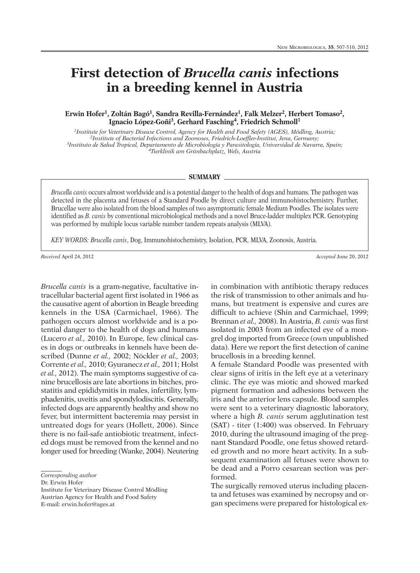## **First detection of** *Brucella canis* **infections in a breeding kennel in Austria**

**Erwin Hofer1, Zoltán Bagó1, Sandra Revilla-Fernández1, Falk Melzer2, Herbert Tomaso2, Ignacio López-Goñi 3, Gerhard Fasching4, Friedrich Schmoll 1**

*1Institute for Veterinary Disease Control, Agency for Health and Food Safety (AGES), Mödling, Austria; 2Institute of Bacterial Infections and Zoonoses, Friedrich-Loeffler-Institut, Jena, Germany; 3Instituto de Salud Tropical, Departamento de Microbiología y Parasitología, Universidad de Navarra, Spain; 4Tierklinik am Grünbachplatz, Wels, Austria*

## **SUMMARY**

*Brucella canis* occurs almost worldwide and is a potential danger to the health of dogs and humans. The pathogen was detected in the placenta and fetuses of a Standard Poodle by direct culture and immunohistochemistry. Further, Brucellae were also isolated from the blood samples of two asymptomatic female Medium Poodles. The isolates were identified as *B. canis* by conventional microbiological methods and a novel Bruce-ladder multiplex PCR. Genotyping was performed by multiple locus variable number tandem repeats analysis (MLVA).

*KEY WORDS: Brucella canis*, Dog, Immunohistochemistry, Isolation, PCR, MLVA, Zoonosis, Austria.

*Received* April 24, 2012 *Accepted* June 20, 2012

*Brucella canis* is a gram-negative, facultative intracellular bacterial agent first isolated in 1966 as the causative agent of abortion in Beagle breeding kennels in the USA (Carmichael, 1966). The pathogen occurs almost worldwide and is a potential danger to the health of dogs and humans (Lucero *et al.,* 2010). In Europe, few clinical cases in dogs or outbreaks in kennels have been described (Dunne *et al.,* 2002; Nöckler *et al.,* 2003; Corrente *et al.,* 2010; Gyuranecz *et al.,* 2011; Holst *et al.,* 2012). The main symptoms suggestive of canine brucellosis are late abortions in bitches, prostatitis and epididymitis in males, infertility, lymphadenitis, uveitis and spondylodiscitis. Generally, infected dogs are apparently healthy and show no fever, but intermittent bacteremia may persist in untreated dogs for years (Hollett, 2006). Since there is no fail-safe antiobiotic treatment, infected dogs must be removed from the kennel and no longer used for breeding (Wanke, 2004). Neutering

Institute for Veterinary Disease Control Mödling Austrian Agency for Health and Food Safety E-mail: erwin.hofer@ages.at

in combination with antibiotic therapy reduces the risk of transmission to other animals and humans, but treatment is expensive and cures are difficult to achieve (Shin and Carmichael, 1999; Brennan *et al.,* 2008). In Austria, *B. canis* was first isolated in 2003 from an infected eye of a mongrel dog imported from Greece (own unpublished data). Here we report the first detection of canine brucellosis in a breeding kennel.

A female Standard Poodle was presented with clear signs of iritis in the left eye at a veterinary clinic. The eye was miotic and showed marked pigment formation and adhesions between the iris and the anterior lens capsule. Blood samples were sent to a veterinary diagnostic laboratory, where a high *B. canis* serum agglutination test (SAT) - titer (1:400) was observed. In February 2010, during the ultrasound imaging of the pregnant Standard Poodle, one fetus showed retarded growth and no more heart activity. In a subsequent examination all fetuses were shown to be dead and a Porro cesarean section was performed.

The surgically removed uterus including placenta and fetuses was examined by necropsy and organ specimens were prepared for histological ex-

*Corresponding author*

Dr. Erwin Hofer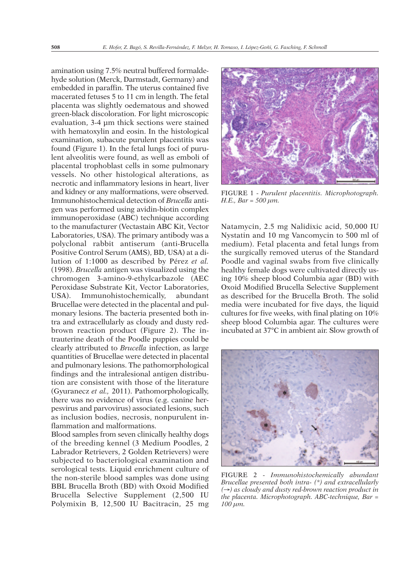amination using 7.5% neutral buffered formaldehyde solution (Merck, Darmstadt, Germany) and embedded in paraffin. The uterus contained five macerated fetuses 5 to 11 cm in length. The fetal placenta was slightly oedematous and showed green-black discoloration. For light microscopic evaluation, 3-4 µm thick sections were stained with hematoxylin and eosin. In the histological examination, subacute purulent placentitis was found (Figure 1). In the fetal lungs foci of purulent alveolitis were found, as well as emboli of placental trophoblast cells in some pulmonary vessels. No other histological alterations, as necrotic and inflammatory lesions in heart, liver and kidney or any malformations, were observed. Immunohistochemical detection of *Brucella* antigen was performed using avidin-biotin complex immunoperoxidase (ABC) technique according to the manufacturer (Vectastain ABC Kit, Vector Laboratories, USA). The primary antibody was a polyclonal rabbit antiserum (anti-Brucella Positive Control Serum (AMS), BD, USA) at a dilution of 1:1000 as described by Pérez *et al.* (1998). *Brucella* antigen was visualized using the chromogen 3-amino-9-ethylcarbazole (AEC Peroxidase Substrate Kit, Vector Laboratories, USA). Immunohistochemically, abundant Brucellae were detected in the placental and pulmonary lesions. The bacteria presented both intra and extracellularly as cloudy and dusty redbrown reaction product (Figure 2). The intrauterine death of the Poodle puppies could be clearly attributed to *Brucella* infection, as large quantities of Brucellae were detected in placental and pulmonary lesions. The pathomorphological findings and the intralesional antigen distribution are consistent with those of the literature (Gyuranecz *et al.,* 2011). Pathomorphologically, there was no evidence of virus (e.g. canine herpesvirus and parvovirus) associated lesions, such as inclusion bodies, necrosis, nonpurulent inflammation and malformations.

Blood samples from seven clinically healthy dogs of the breeding kennel (3 Medium Poodles, 2 Labrador Retrievers, 2 Golden Retrievers) were subjected to bacteriological examination and serological tests. Liquid enrichment culture of the non-sterile blood samples was done using BBL Brucella Broth (BD) with Oxoid Modified Brucella Selective Supplement (2,500 IU Polymixin B, 12,500 IU Bacitracin, 25 mg



FIGURE 1 - *Purulent placentitis. Microphotograph. H.E., Bar = 500 µm.*

Natamycin, 2.5 mg Nalidixic acid, 50,000 IU Nystatin and 10 mg Vancomycin to 500 ml of medium). Fetal placenta and fetal lungs from the surgically removed uterus of the Standard Poodle and vaginal swabs from five clinically healthy female dogs were cultivated directly using 10% sheep blood Columbia agar (BD) with Oxoid Modified Brucella Selective Supplement as described for the Brucella Broth. The solid media were incubated for five days, the liquid cultures for five weeks, with final plating on 10% sheep blood Columbia agar. The cultures were incubated at 37°C in ambient air. Slow growth of



FIGURE 2 - *Immunohistochemically abundant Brucellae presented both intra- (\*) and extracellularly (*→*) as cloudy and dusty red-brown reaction product in the placenta. Microphotograph. ABC-technique, Bar = 100 µm.*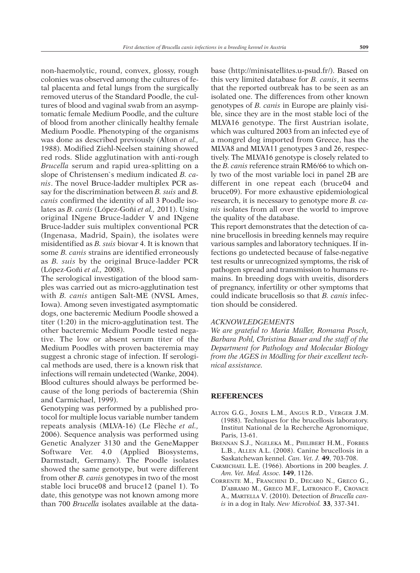non-haemolytic, round, convex, glossy, rough colonies was observed among the cultures of fetal placenta and fetal lungs from the surgically removed uterus of the Standard Poodle, the cultures of blood and vaginal swab from an asymptomatic female Medium Poodle, and the culture of blood from another clinically healthy female Medium Poodle. Phenotyping of the organisms was done as described previously (Alton *et al.,* 1988). Modified Ziehl-Neelsen staining showed red rods. Slide agglutination with anti-rough *Brucella* serum and rapid urea-splitting on a slope of Christensen`s medium indicated *B. canis*. The novel Bruce-ladder multiplex PCR assay for the discrimination between *B. suis* and *B. canis* confirmed the identity of all 3 Poodle isolates as *B. canis* (López-Goñi *et al.,* 2011). Using original INgene Bruce-ladder V and INgene Bruce-ladder suis multiplex conventional PCR (Ingenasa, Madrid, Spain), the isolates were misidentified as *B. suis* biovar 4. It is known that some *B. canis* strains are identified erroneously as *B. suis* by the original Bruce-ladder PCR (López-Goñi *et al.,* 2008).

The serological investigation of the blood samples was carried out as micro-agglutination test with *B. canis* antigen Salt-ME (NVSL Ames, Iowa). Among seven investigated asymptomatic dogs, one bacteremic Medium Poodle showed a titer (1:20) in the micro-agglutination test. The other bacteremic Medium Poodle tested negative. The low or absent serum titer of the Medium Poodles with proven bacteremia may suggest a chronic stage of infection. If serological methods are used, there is a known risk that infections will remain undetected (Wanke, 2004). Blood cultures should always be performed because of the long periods of bacteremia (Shin and Carmichael, 1999).

Genotyping was performed by a published protocol for multiple locus variable number tandem repeats analysis (MLVA-16) (Le Flèche *et al.,* 2006). Sequence analysis was performed using Genetic Analyzer 3130 and the GeneMapper Software Ver. 4.0 (Applied Biosystems, Darmstadt, Germany). The Poodle isolates showed the same genotype, but were different from other *B. canis* genotypes in two of the most stable loci bruce08 and bruce12 (panel 1). To date, this genotype was not known among more than 700 *Brucella* isolates available at the data-

base (http://minisatellites.u-psud.fr/). Based on this very limited database for *B. canis*, it seems that the reported outbreak has to be seen as an isolated one. The differences from other known genotypes of *B. canis* in Europe are plainly visible, since they are in the most stable loci of the MLVA16 genotype. The first Austrian isolate, which was cultured 2003 from an infected eye of a mongrel dog imported from Greece, has the MLVA8 and MLVA11 genotypes 3 and 26, respectively. The MLVA16 genotype is closely related to the *B. canis* reference strain RM6/66 to which only two of the most variable loci in panel 2B are different in one repeat each (bruce04 and bruce09). For more exhaustive epidemiological research, it is necessary to genotype more *B. canis* isolates from all over the world to improve the quality of the database.

This report demonstrates that the detection of canine brucellosis in breeding kennels may require various samples and laboratory techniques. If infections go undetected because of false-negative test results or unrecognized symptoms, the risk of pathogen spread and transmission to humans remains. In breeding dogs with uveitis, disorders of pregnancy, infertility or other symptoms that could indicate brucellosis so that *B. canis* infection should be considered.

## *ACKNOWLEDGEMENTS*

*We are grateful to Maria Müller, Romana Posch, Barbara Pohl, Christina Bauer and the staff of the Department for Pathology and Molecular Biology from the AGES in Mödling for their excellent technical assistance.*

## **REFERENCES**

- ALTON G.G., JONES L.M., ANGUS R.D., VERGER J.M. (1988). Techniques for the brucellosis laboratory. Institut National de la Recherche Agronomique, Paris, 13-61.
- BRENNAN S.J., NGELEKA M., PHILIBERT H.M., FORBES L.B., ALLEN A.L. (2008). Canine brucellosis in a Saskatchewan kennel. *Can. Vet. J.* **49**, 703-708.
- CARMICHAEL L.E. (1966). Abortions in 200 beagles. *J. Am. Vet. Med. Assoc.* **149**, 1126.
- CORRENTE M., FRANCHINI D., DECARO N., GRECO G., D'ABRAMO M., GRECO M.F., LATRONICO F., CROVACE A., MARTELLA V. (2010). Detection of *Brucella canis* in a dog in Italy. *New Microbiol.* **33**, 337-341.